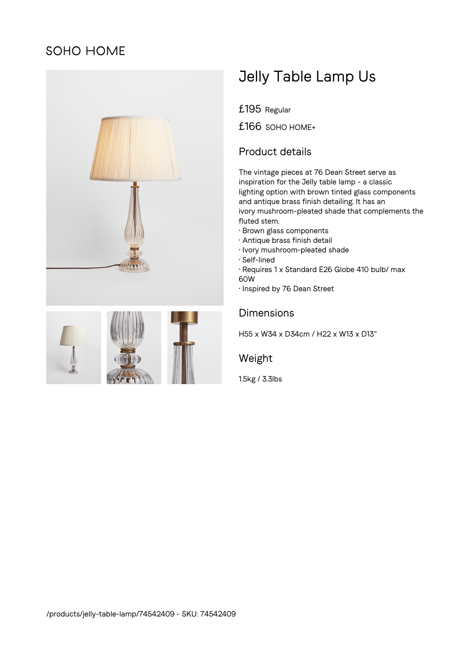## SOHO HOME





# Jelly Table Lamp Us

£195 Regular

£166 SOHO HOME+

### Product details

The vintage pieces at 76 Dean Street serve as inspiration for the Jelly table lamp - a classic lighting option with brown tinted glass components and antique brass finish detailing. It has an ivory mushroom-pleated shade that complements the fluted stem.

- Brown glass components
- Antique brass finish detail
- Ivory mushroom-pleated shade
- Self-lined
- Requires 1 x Standard E26 Globe 410 bulb/ max 60W
- Inspired by 76 Dean Street

#### Dimensions

H55 x W34 x D34cm / H22 x W13 x D13"

#### Weight

1.5kg / 3.3lbs